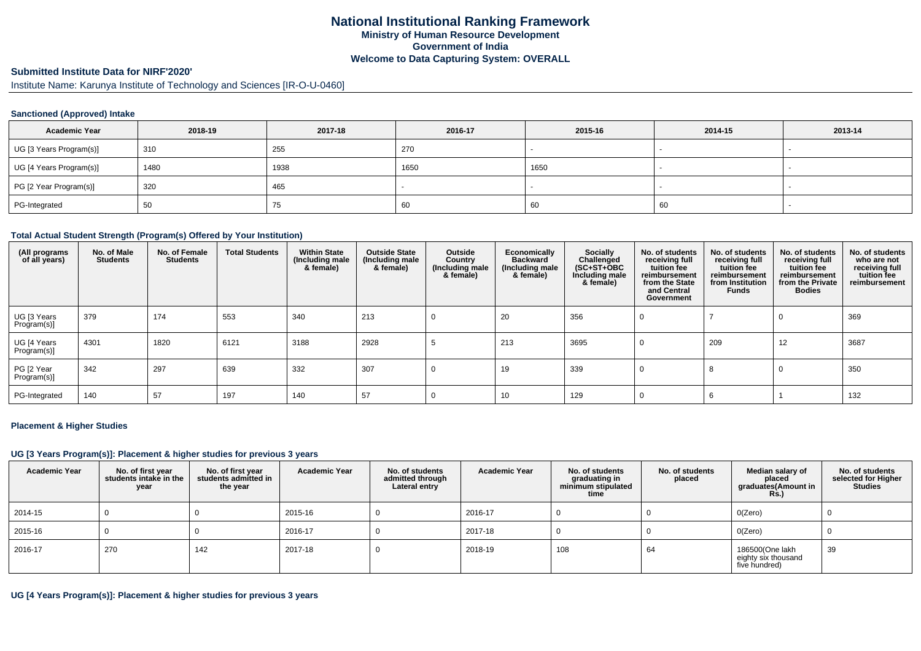#### **Submitted Institute Data for NIRF'2020'**

Institute Name: Karunya Institute of Technology and Sciences [IR-O-U-0460]

### **Sanctioned (Approved) Intake**

| <b>Academic Year</b>    | 2018-19 | 2017-18 | 2016-17 | 2015-16 | 2014-15 | 2013-14                  |
|-------------------------|---------|---------|---------|---------|---------|--------------------------|
| UG [3 Years Program(s)] | 310     | 255     | 270     |         |         | $\overline{\phantom{a}}$ |
| UG [4 Years Program(s)] | 1480    | 1938    | 1650    | 1650    |         |                          |
| PG [2 Year Program(s)]  | 320     | 465     |         |         |         |                          |
| PG-Integrated           | 50      | 75      | 60      | 60      | 60      |                          |

#### **Total Actual Student Strength (Program(s) Offered by Your Institution)**

| (All programs<br>of all years) | No. of Male<br><b>Students</b> | No. of Female<br><b>Students</b> | <b>Total Students</b> | <b>Within State</b><br>(Including male<br>& female) | <b>Outside State</b><br>(Including male<br>& female) | Outside<br>Country<br>(Including male<br>& female) | Economically<br><b>Backward</b><br>(Including male<br>& female) | Socially<br>Challenged<br>$(SC+ST+OBC)$<br>Including male<br>& female) | No. of students<br>receiving full<br>tuition fee<br>reimbursement<br>from the State<br>and Central<br>Government | No. of students<br>receiving full<br>tuition fee<br>reimbursement<br>from Institution<br><b>Funds</b> | No. of students<br>receiving full<br>tuition fee<br>reimbursement<br>from the Private<br><b>Bodies</b> | No. of students<br>who are not<br>receiving full<br>tuition fee<br>reimbursement |
|--------------------------------|--------------------------------|----------------------------------|-----------------------|-----------------------------------------------------|------------------------------------------------------|----------------------------------------------------|-----------------------------------------------------------------|------------------------------------------------------------------------|------------------------------------------------------------------------------------------------------------------|-------------------------------------------------------------------------------------------------------|--------------------------------------------------------------------------------------------------------|----------------------------------------------------------------------------------|
| UG [3 Years<br>Program(s)]     | 379                            | 174                              | 553                   | 340                                                 | 213                                                  |                                                    | 20                                                              | 356                                                                    |                                                                                                                  |                                                                                                       | 0                                                                                                      | 369                                                                              |
| UG [4 Years<br>Program(s)]     | 4301                           | 1820                             | 6121                  | 3188                                                | 2928                                                 |                                                    | 213                                                             | 3695                                                                   | υ                                                                                                                | 209                                                                                                   | 12                                                                                                     | 3687                                                                             |
| PG [2 Year<br>Program(s)]      | 342                            | 297                              | 639                   | 332                                                 | 307                                                  |                                                    | 19                                                              | 339                                                                    | υ                                                                                                                | 8                                                                                                     | 0                                                                                                      | 350                                                                              |
| PG-Integrated                  | 140                            | 57                               | 197                   | 140                                                 | 57                                                   |                                                    | 10                                                              | 129                                                                    |                                                                                                                  |                                                                                                       |                                                                                                        | 132                                                                              |

#### **Placement & Higher Studies**

### **UG [3 Years Program(s)]: Placement & higher studies for previous 3 years**

| <b>Academic Year</b> | No. of first year<br>students intake in the<br>year | No. of first year<br>students admitted in<br>the year | <b>Academic Year</b> | No. of students<br>admitted through<br>Lateral entry | <b>Academic Year</b> | No. of students<br>graduating in<br>minimum stipulated<br>time | No. of students<br>placed | Median salary of<br>placed<br>graduates(Amount in<br><b>Rs.)</b> | No. of students<br>selected for Higher<br><b>Studies</b> |
|----------------------|-----------------------------------------------------|-------------------------------------------------------|----------------------|------------------------------------------------------|----------------------|----------------------------------------------------------------|---------------------------|------------------------------------------------------------------|----------------------------------------------------------|
| 2014-15              |                                                     |                                                       | 2015-16              |                                                      | 2016-17              |                                                                |                           | O(Zero)                                                          |                                                          |
| 2015-16              |                                                     |                                                       | 2016-17              |                                                      | 2017-18              |                                                                |                           | O(Zero)                                                          |                                                          |
| 2016-17              | 270                                                 | 142                                                   | 2017-18              |                                                      | 2018-19              | 108                                                            | 64                        | 186500(One lakh<br>eighty six thousand<br>five hundred)          | 39                                                       |

# **UG [4 Years Program(s)]: Placement & higher studies for previous 3 years**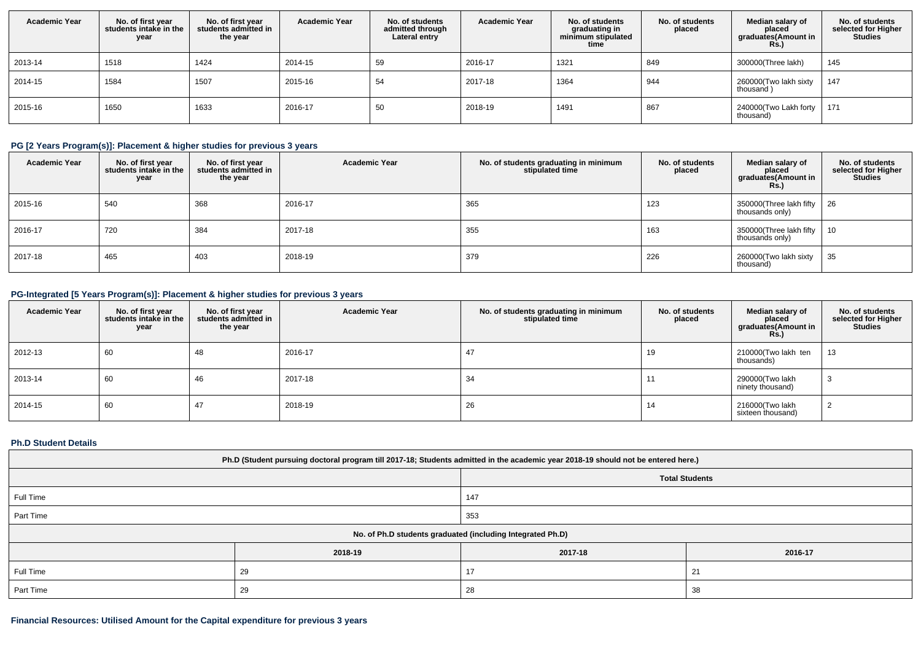| <b>Academic Year</b> | No. of first year<br>students intake in the<br>year | No. of first year<br>students admitted in<br>the year | <b>Academic Year</b> | No. of students<br>admitted through<br>Lateral entry | <b>Academic Year</b> | No. of students<br>graduating in<br>minimum stipulated<br>time | No. of students<br>placed | Median salary of<br>placed<br>graduates(Amount in<br><b>Rs.)</b> | No. of students<br>selected for Higher<br><b>Studies</b> |
|----------------------|-----------------------------------------------------|-------------------------------------------------------|----------------------|------------------------------------------------------|----------------------|----------------------------------------------------------------|---------------------------|------------------------------------------------------------------|----------------------------------------------------------|
| 2013-14              | 1518                                                | 1424                                                  | 2014-15              | 59                                                   | 2016-17              | 1321                                                           | 849                       | 300000(Three lakh)                                               | 145                                                      |
| 2014-15              | 1584                                                | 1507                                                  | 2015-16              | 54                                                   | 2017-18              | 1364                                                           | 944                       | 260000(Two lakh sixty<br>thousand)                               | 147                                                      |
| 2015-16              | 1650                                                | 1633                                                  | 2016-17              | 50                                                   | 2018-19              | 1491                                                           | 867                       | 240000(Two Lakh forty<br>thousand)                               | 171                                                      |

# **PG [2 Years Program(s)]: Placement & higher studies for previous 3 years**

| <b>Academic Year</b> | No. of first year<br>students intake in the<br>year | No. of first year<br>students admitted in<br>the year | <b>Academic Year</b> | No. of students graduating in minimum<br>stipulated time | No. of students<br>placed | Median salary of<br>placed<br>graduates(Amount in<br><b>Rs.)</b> | No. of students<br>selected for Higher<br><b>Studies</b> |
|----------------------|-----------------------------------------------------|-------------------------------------------------------|----------------------|----------------------------------------------------------|---------------------------|------------------------------------------------------------------|----------------------------------------------------------|
| 2015-16              | 540                                                 | 368                                                   | 2016-17              | 365                                                      | 123                       | 350000(Three lakh fifty $\vert$ 26<br>thousands only)            |                                                          |
| 2016-17              | 720                                                 | 384                                                   | 2017-18              | 355                                                      | 163                       | 350000(Three lakh fifty<br>thousands only)                       | 10                                                       |
| 2017-18              | 465                                                 | 403                                                   | 2018-19              | 379                                                      | 226                       | 260000(Two lakh sixty<br>thousand)                               | 35                                                       |

# **PG-Integrated [5 Years Program(s)]: Placement & higher studies for previous 3 years**

| <b>Academic Year</b> | No. of first year<br>students intake in the<br>year | No. of first year<br>students admitted in<br>the year | <b>Academic Year</b> | No. of students graduating in minimum<br>stipulated time | No. of students<br>placed | Median salary of<br>placed<br>graduates(Amount in<br><b>Rs.)</b> | No. of students<br>selected for Higher<br><b>Studies</b> |
|----------------------|-----------------------------------------------------|-------------------------------------------------------|----------------------|----------------------------------------------------------|---------------------------|------------------------------------------------------------------|----------------------------------------------------------|
| 2012-13              | 60                                                  | 48                                                    | 2016-17              | 47                                                       | 19                        | 210000(Two lakh ten<br>thousands)                                | 13                                                       |
| 2013-14              | 60                                                  | 46                                                    | 2017-18              | 34                                                       | 11                        | 290000(Two lakh<br>ninety thousand)                              | З                                                        |
| 2014-15              | 60                                                  | 47                                                    | 2018-19              | 26                                                       | 14                        | 216000(Two lakh<br>sixteen thousand)                             |                                                          |

### **Ph.D Student Details**

| Ph.D (Student pursuing doctoral program till 2017-18; Students admitted in the academic year 2018-19 should not be entered here.) |         |         |         |  |  |  |
|-----------------------------------------------------------------------------------------------------------------------------------|---------|---------|---------|--|--|--|
| <b>Total Students</b>                                                                                                             |         |         |         |  |  |  |
| Full Time                                                                                                                         |         | 147     |         |  |  |  |
| Part Time                                                                                                                         |         | 353     |         |  |  |  |
| No. of Ph.D students graduated (including Integrated Ph.D)                                                                        |         |         |         |  |  |  |
|                                                                                                                                   | 2018-19 | 2017-18 | 2016-17 |  |  |  |
| Full Time                                                                                                                         | 29      | 17      | 21      |  |  |  |
| Part Time                                                                                                                         | 29      | 28      | -38     |  |  |  |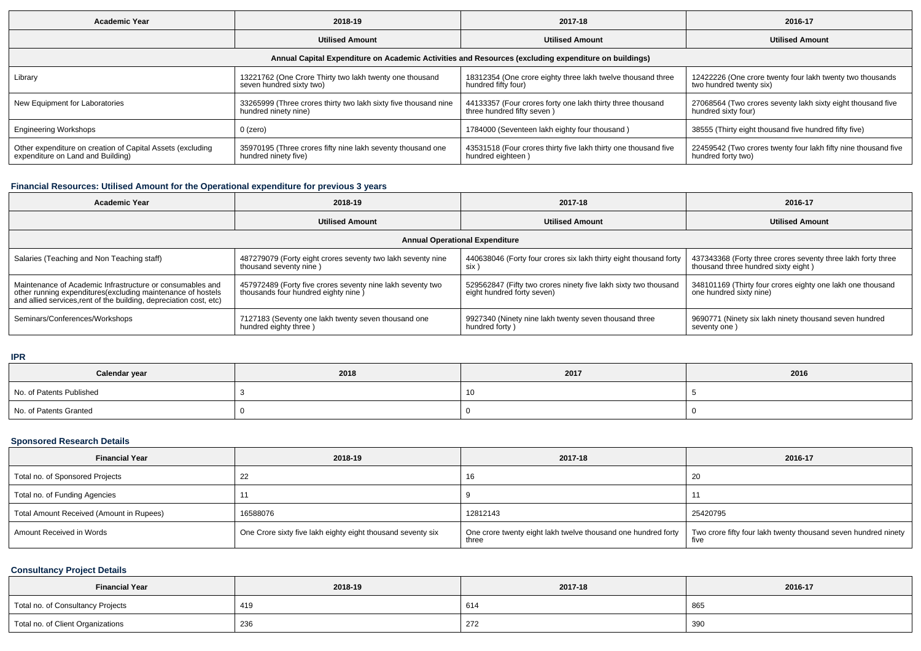| <b>Academic Year</b>                                                                                 | 2018-19                                                                                 | 2017-18                                                                                  | 2016-17                                                                              |  |  |  |  |  |
|------------------------------------------------------------------------------------------------------|-----------------------------------------------------------------------------------------|------------------------------------------------------------------------------------------|--------------------------------------------------------------------------------------|--|--|--|--|--|
|                                                                                                      | <b>Utilised Amount</b>                                                                  | <b>Utilised Amount</b>                                                                   | <b>Utilised Amount</b>                                                               |  |  |  |  |  |
| Annual Capital Expenditure on Academic Activities and Resources (excluding expenditure on buildings) |                                                                                         |                                                                                          |                                                                                      |  |  |  |  |  |
| Library                                                                                              | 13221762 (One Crore Thirty two lakh twenty one thousand<br>seven hundred sixty two)     | 18312354 (One crore eighty three lakh twelve thousand three<br>hundred fifty four)       | 12422226 (One crore twenty four lakh twenty two thousands<br>two hundred twenty six) |  |  |  |  |  |
| New Equipment for Laboratories                                                                       | 33265999 (Three crores thirty two lakh sixty five thousand nine<br>hundred ninety nine) | 44133357 (Four crores forty one lakh thirty three thousand<br>three hundred fifty seven) | 27068564 (Two crores seventy lakh sixty eight thousand five<br>hundred sixty four)   |  |  |  |  |  |
| <b>Engineering Workshops</b>                                                                         | 0 (zero)                                                                                | 1784000 (Seventeen lakh eighty four thousand)                                            | 38555 (Thirty eight thousand five hundred fifty five)                                |  |  |  |  |  |
| Other expenditure on creation of Capital Assets (excluding<br>expenditure on Land and Building)      | 35970195 (Three crores fifty nine lakh seventy thousand one<br>hundred ninety five)     | 43531518 (Four crores thirty five lakh thirty one thousand five<br>hundred eighteen)     | 22459542 (Two crores twenty four lakh fifty nine thousand five<br>hundred forty two) |  |  |  |  |  |

# **Financial Resources: Utilised Amount for the Operational expenditure for previous 3 years**

| <b>Academic Year</b>                                                                                                                                                                            | 2018-19                                                                                           | 2017-18                                                                                       | 2016-17                                                                                             |  |  |  |
|-------------------------------------------------------------------------------------------------------------------------------------------------------------------------------------------------|---------------------------------------------------------------------------------------------------|-----------------------------------------------------------------------------------------------|-----------------------------------------------------------------------------------------------------|--|--|--|
|                                                                                                                                                                                                 | <b>Utilised Amount</b>                                                                            | <b>Utilised Amount</b>                                                                        | <b>Utilised Amount</b>                                                                              |  |  |  |
| <b>Annual Operational Expenditure</b>                                                                                                                                                           |                                                                                                   |                                                                                               |                                                                                                     |  |  |  |
| Salaries (Teaching and Non Teaching staff)                                                                                                                                                      | 487279079 (Forty eight crores seventy two lakh seventy nine<br>thousand seventy nine)             | 440638046 (Forty four crores six lakh thirty eight thousand forty<br>six )                    | 437343368 (Forty three crores seventy three lakh forty three<br>thousand three hundred sixty eight) |  |  |  |
| Maintenance of Academic Infrastructure or consumables and<br>other running expenditures (excluding maintenance of hostels<br>and allied services, rent of the building, depreciation cost, etc) | 457972489 (Forty five crores seventy nine lakh seventy two<br>thousands four hundred eighty nine) | 529562847 (Fifty two crores ninety five lakh sixty two thousand<br>eight hundred forty seven) | 348101169 (Thirty four crores eighty one lakh one thousand<br>one hundred sixty nine)               |  |  |  |
| Seminars/Conferences/Workshops                                                                                                                                                                  | 7127183 (Seventy one lakh twenty seven thousand one<br>hundred eighty three)                      | 9927340 (Ninety nine lakh twenty seven thousand three<br>hundred forty)                       | 9690771 (Ninety six lakh ninety thousand seven hundred<br>seventy one)                              |  |  |  |

**IPR**

| Calendar year            | 2018 | 2017 | 2016 |
|--------------------------|------|------|------|
| No. of Patents Published |      | 10   |      |
| No. of Patents Granted   |      |      |      |

# **Sponsored Research Details**

| <b>Financial Year</b>                    | 2018-19                                                     | 2017-18  | 2016-17                                                                                                                                |
|------------------------------------------|-------------------------------------------------------------|----------|----------------------------------------------------------------------------------------------------------------------------------------|
| Total no. of Sponsored Projects          | ∠∠                                                          | 16       | -20                                                                                                                                    |
| Total no. of Funding Agencies            |                                                             |          |                                                                                                                                        |
| Total Amount Received (Amount in Rupees) | 16588076                                                    | 12812143 | 25420795                                                                                                                               |
| Amount Received in Words                 | One Crore sixty five lakh eighty eight thousand seventy six | three    | One crore twenty eight lakh twelve thousand one hundred forty   Two crore fifty four lakh twenty thousand seven hundred ninety<br>five |

# **Consultancy Project Details**

| <b>Financial Year</b>             | 2018-19 | 2017-18 | 2016-17 |
|-----------------------------------|---------|---------|---------|
| Total no. of Consultancy Projects | 419     | 614     | 865     |
| Total no. of Client Organizations | 236     | 272     | 390     |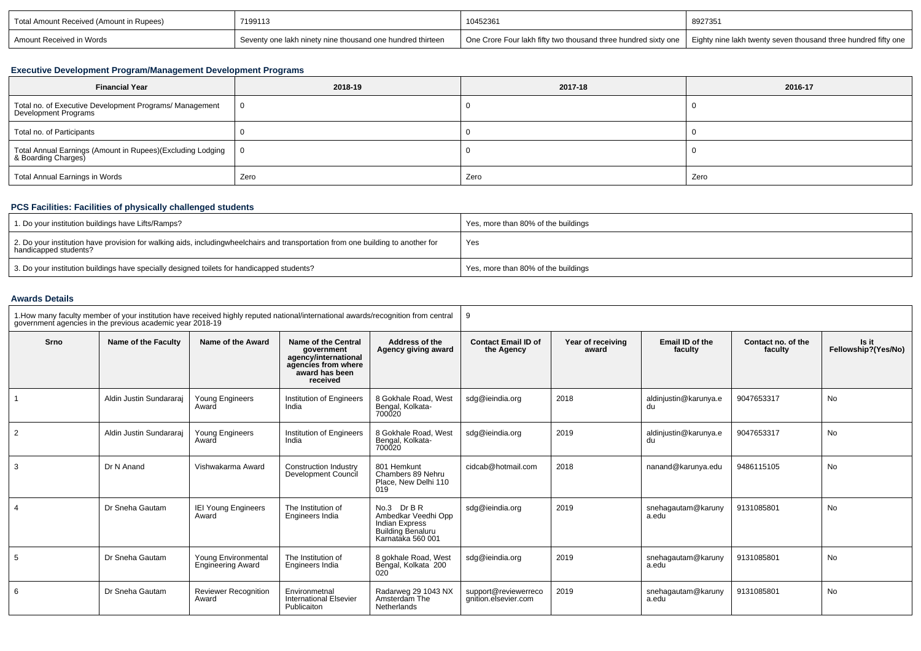| Total Amount Received (Amount in Rupees) | 7199113                                                      | 10452361 | 8927351                                                                                                                         |
|------------------------------------------|--------------------------------------------------------------|----------|---------------------------------------------------------------------------------------------------------------------------------|
| Amount Received in Words                 | I Seventy one lakh ninety nine thousand one hundred thirteen |          | One Crore Four lakh fifty two thousand three hundred sixty one   Eighty nine lakh twenty seven thousand three hundred fifty one |

### **Executive Development Program/Management Development Programs**

| <b>Financial Year</b>                                                             | 2018-19 | 2017-18 | 2016-17 |
|-----------------------------------------------------------------------------------|---------|---------|---------|
| Total no. of Executive Development Programs/ Management<br>Development Programs   |         |         |         |
| Total no. of Participants                                                         |         |         |         |
| Total Annual Earnings (Amount in Rupees)(Excluding Lodging<br>& Boarding Charges) | - 0     |         |         |
| Total Annual Earnings in Words                                                    | Zero    | Zero    | Zero    |

# **PCS Facilities: Facilities of physically challenged students**

| 1. Do your institution buildings have Lifts/Ramps?                                                                                                        | Yes, more than 80% of the buildings |
|-----------------------------------------------------------------------------------------------------------------------------------------------------------|-------------------------------------|
| 2. Do your institution have provision for walking aids, includingwheelchairs and transportation from one building to another for<br>handicapped students? | Yes                                 |
| <sup>1</sup> 3. Do your institution buildings have specially designed toilets for handicapped students?                                                   | Yes, more than 80% of the buildings |

### **Awards Details**

|      | 1. How many faculty member of your institution have received highly reputed national/international awards/recognition from central<br>government agencies in the previous academic year 2018-19 |                                                 |                                                                                                                |                                                                                                              | -9                                           |                            |                             |                               |                              |
|------|-------------------------------------------------------------------------------------------------------------------------------------------------------------------------------------------------|-------------------------------------------------|----------------------------------------------------------------------------------------------------------------|--------------------------------------------------------------------------------------------------------------|----------------------------------------------|----------------------------|-----------------------------|-------------------------------|------------------------------|
| Srno | Name of the Faculty                                                                                                                                                                             | Name of the Award                               | Name of the Central<br>government<br>agency/international<br>agencies from where<br>award has been<br>received | Address of the<br>Agency giving award                                                                        | <b>Contact Email ID of</b><br>the Agency     | Year of receiving<br>award | Email ID of the<br>faculty  | Contact no. of the<br>faculty | Is it<br>Fellowship?(Yes/No) |
|      | Aldin Justin Sundararai                                                                                                                                                                         | Young Engineers<br>Award                        | Institution of Engineers<br>India                                                                              | 8 Gokhale Road, West<br>Bengal, Kolkata-                                                                     | sdg@ieindia.org                              | 2018                       | aldinjustin@karunya.e<br>du | 9047653317                    | <b>No</b>                    |
| 2    | Aldin Justin Sundararai                                                                                                                                                                         | Young Engineers<br>Award                        | Institution of Engineers<br>India                                                                              | 8 Gokhale Road, West<br>Bengal, Kolkata-<br>700020                                                           | sdg@ieindia.org                              | 2019                       | aldinjustin@karunya.e<br>du | 9047653317                    | No                           |
| 3    | Dr N Anand                                                                                                                                                                                      | Vishwakarma Award                               | <b>Construction Industry</b><br>Development Council                                                            | 801 Hemkunt<br>Chambers 89 Nehru<br>Place, New Delhi 110<br>019                                              | cidcab@hotmail.com                           | 2018                       | nanand@karunya.edu          | 9486115105                    | No                           |
|      | Dr Sneha Gautam                                                                                                                                                                                 | <b>IEI Young Engineers</b><br>Award             | The Institution of<br>Engineers India                                                                          | No.3 Dr B R<br>Ambedkar Veedhi Opp<br><b>Indian Express</b><br><b>Building Benaluru</b><br>Karnataka 560 001 | sdg@ieindia.org                              | 2019                       | snehagautam@karuny<br>a.edu | 9131085801                    | No                           |
| 5    | Dr Sneha Gautam                                                                                                                                                                                 | Young Environmental<br><b>Engineering Award</b> | The Institution of<br>Engineers India                                                                          | 8 gokhale Road, West<br>Bengal, Kolkata <sup>'</sup> 200<br>020                                              | sdg@ieindia.org                              | 2019                       | snehagautam@karuny<br>a.edu | 9131085801                    | No                           |
| 6    | Dr Sneha Gautam                                                                                                                                                                                 | Reviewer Recognition<br>Award                   | Environmetnal<br><b>International Elsevier</b><br>Publicaiton                                                  | Radarweg 29 1043 NX<br>Amsterdam The<br>Netherlands                                                          | support@reviewerreco<br>gnition.elsevier.com | 2019                       | snehagautam@karuny<br>a.edu | 9131085801                    | No                           |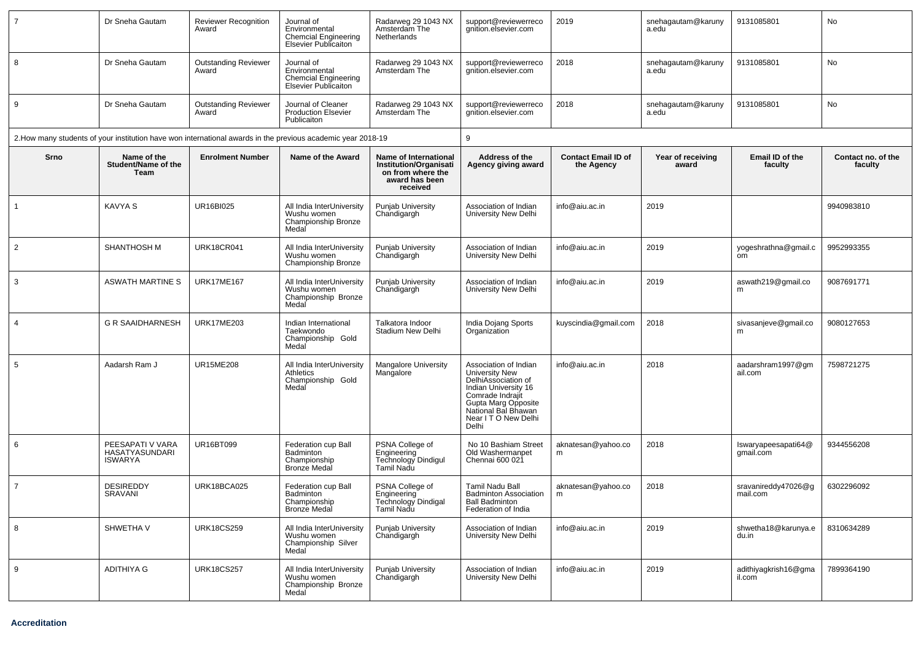| $\overline{7}$ | Dr Sneha Gautam                                      | <b>Reviewer Recognition</b><br>Award | Journal of<br>Environmental<br><b>Chemcial Engineering</b><br><b>Elsevier Publicaiton</b>                    | Radarweg 29 1043 NX<br>Amsterdam The<br>Netherlands                                                       | support@reviewerreco<br>gnition.elsevier.com                                                                                                                                              | 2019                                     | snehagautam@karuny<br>a.edu | 9131085801                            | No                            |
|----------------|------------------------------------------------------|--------------------------------------|--------------------------------------------------------------------------------------------------------------|-----------------------------------------------------------------------------------------------------------|-------------------------------------------------------------------------------------------------------------------------------------------------------------------------------------------|------------------------------------------|-----------------------------|---------------------------------------|-------------------------------|
| 8              | Dr Sneha Gautam                                      | <b>Outstanding Reviewer</b><br>Award | Journal of<br>Environmental<br><b>Chemcial Engineering</b><br><b>Elsevier Publicaiton</b>                    | Radarweg 29 1043 NX<br>Amsterdam The                                                                      | support@reviewerreco<br>anition.elsevier.com                                                                                                                                              | 2018                                     | snehagautam@karuny<br>a.edu | 9131085801                            | No                            |
| 9              | Dr Sneha Gautam                                      | <b>Outstanding Reviewer</b><br>Award | Journal of Cleaner<br><b>Production Elsevier</b><br>Publicaiton                                              | Radarweg 29 1043 NX<br>Amsterdam The                                                                      | support@reviewerreco<br>qnition.elsevier.com                                                                                                                                              | 2018                                     | snehagautam@karuny<br>a.edu | 9131085801                            | No                            |
|                |                                                      |                                      | 2. How many students of your institution have won international awards in the previous academic year 2018-19 |                                                                                                           | 9                                                                                                                                                                                         |                                          |                             |                                       |                               |
| Srno           | Name of the<br>Student/Name of the<br>Team           | <b>Enrolment Number</b>              | Name of the Award                                                                                            | Name of International<br><b>Institution/Organisati</b><br>on from where the<br>award has been<br>received | Address of the<br>Agency giving award                                                                                                                                                     | <b>Contact Email ID of</b><br>the Agency | Year of receiving<br>award  | Email ID of the<br>faculty            | Contact no. of the<br>faculty |
| $\overline{1}$ | <b>KAVYA S</b>                                       | UR16BI025                            | All India InterUniversity<br>Wushu women<br>Championship Bronze<br>Medal                                     | <b>Punjab University</b><br>Chandigargh                                                                   | Association of Indian<br>University New Delhi                                                                                                                                             | info@aiu.ac.in                           | 2019                        |                                       | 9940983810                    |
| 2              | <b>SHANTHOSH M</b>                                   | <b>URK18CR041</b>                    | All India InterUniversity<br>Wushu women<br>Championship Bronze                                              | Punjab University<br>Chandigargh                                                                          | Association of Indian<br>University New Delhi                                                                                                                                             | info@aiu.ac.in                           | 2019                        | yogeshrathna@gmail.c<br><sub>om</sub> | 9952993355                    |
| 3              | <b>ASWATH MARTINE S</b>                              | <b>URK17ME167</b>                    | All India InterUniversity<br>Wushu women<br>Championship Bronze<br>Medal                                     | Punjab University<br>Chandigargh                                                                          | Association of Indian<br>University New Delhi                                                                                                                                             | info@aiu.ac.in                           | 2019                        | aswath219@gmail.co<br>m               | 9087691771                    |
| $\overline{4}$ | <b>G R SAAIDHARNESH</b>                              | <b>URK17ME203</b>                    | Indian International<br>Taekwondo<br>Championship Gold<br>Medal                                              | Talkatora Indoor<br>Stadium New Delhi                                                                     | India Dojang Sports<br>Organization                                                                                                                                                       | kuyscindia@gmail.com                     | 2018                        | sivasanjeve@gmail.co<br>m             | 9080127653                    |
| 5              | Aadarsh Ram J                                        | <b>UR15ME208</b>                     | All India InterUniversity<br>Athletics<br>Championship Gold<br>Medal                                         | Mangalore University<br>Mangalore                                                                         | Association of Indian<br>University New<br>DelhiAssociation of<br>Indian University 16<br>Comrade Indrajit<br>Gupta Marg Opposite<br>National Bal Bhawan<br>Near I T O New Delhi<br>Delhi | info@aiu.ac.in                           | 2018                        | aadarshram1997@gm<br>ail.com          | 7598721275                    |
| 6              | PEESAPATI V VARA<br>HASATYASUNDARI<br><b>ISWARYA</b> | <b>UR16BT099</b>                     | Federation cup Ball<br>Badminton<br>Championship<br><b>Bronze Medal</b>                                      | PSNA College of<br><b>Engineering</b><br>Technology Dindigul<br>Tamil Nadu                                | No 10 Bashiam Street<br>Old Washermanpet<br>Chennai 600 021                                                                                                                               | aknatesan@yahoo.co<br>m                  | 2018                        | Iswaryapeesapati64@<br>gmail.com      | 9344556208                    |
| $\overline{7}$ | <b>DESIREDDY</b><br>SRAVANI                          | URK18BCA025                          | Federation cup Ball<br><b>Badminton</b><br>Championship<br>Bronze Medal                                      | PSNA College of<br>Engineering<br>Technology Dinaigal<br>Tamil Nadu                                       | Tamil Nadu Ball<br><b>Badminton Association</b><br><b>Ball Badminton</b><br>Federation of India                                                                                           | aknatesan@yahoo.co<br>m                  | 2018                        | sravanireddy47026@g<br>mail.com       | 6302296092                    |
| 8              | SHWETHA V                                            | <b>URK18CS259</b>                    | All India InterUniversity<br>Wushu women<br>Championship Silver<br>Medal                                     | Punjab University<br>Chandigargh                                                                          | Association of Indian<br>University New Delhi                                                                                                                                             | info@aiu.ac.in                           | 2019                        | shwetha18@karunya.e<br>du.in          | 8310634289                    |
| 9              | <b>ADITHIYA G</b>                                    | <b>URK18CS257</b>                    | All India InterUniversity<br>Wushu women<br>Championship Bronze<br>Medal                                     | Punjab University<br>Chandigargh                                                                          | Association of Indian<br>University New Delhi                                                                                                                                             | info@aiu.ac.in                           | 2019                        | adithiyagkrish16@gma<br>il.com        | 7899364190                    |